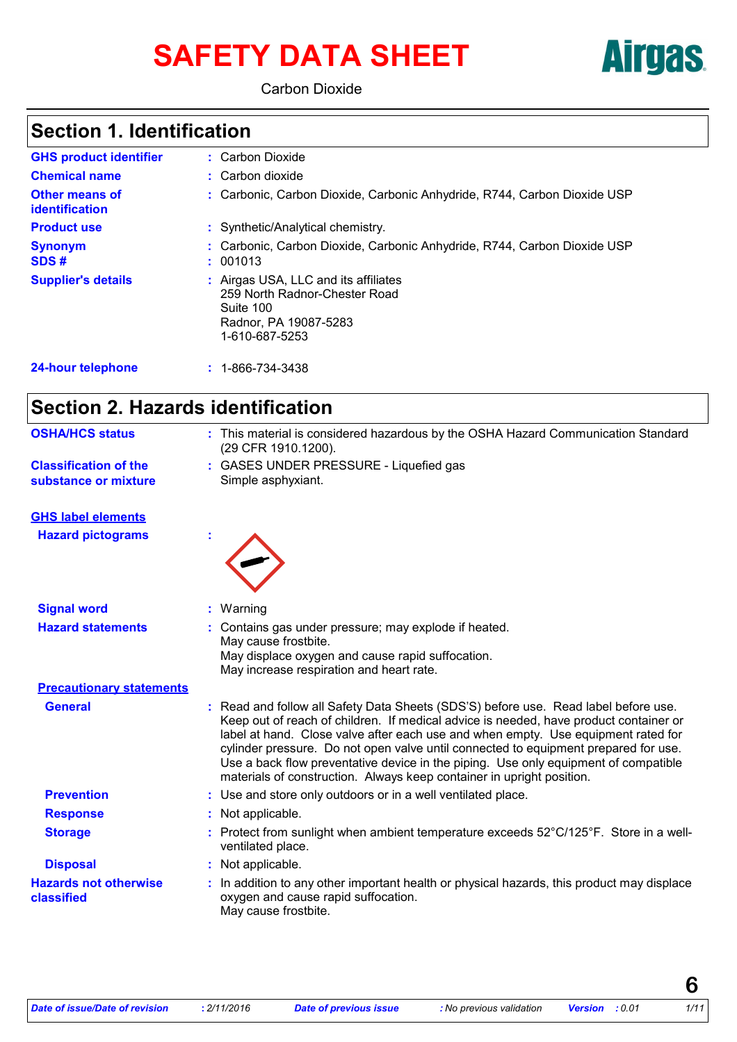# SAFETY DATA SHEET **Airgas**



Carbon Dioxide

# **Section 1. Identification**

| <b>GHS product identifier</b>                  | : Carbon Dioxide                                                                                                              |
|------------------------------------------------|-------------------------------------------------------------------------------------------------------------------------------|
| <b>Chemical name</b>                           | : Carbon dioxide                                                                                                              |
| <b>Other means of</b><br><b>identification</b> | : Carbonic, Carbon Dioxide, Carbonic Anhydride, R744, Carbon Dioxide USP                                                      |
| <b>Product use</b>                             | : Synthetic/Analytical chemistry.                                                                                             |
| <b>Synonym</b><br>SDS#                         | : Carbonic, Carbon Dioxide, Carbonic Anhydride, R744, Carbon Dioxide USP<br>: 001013                                          |
| <b>Supplier's details</b>                      | : Airgas USA, LLC and its affiliates<br>259 North Radnor-Chester Road<br>Suite 100<br>Radnor, PA 19087-5283<br>1-610-687-5253 |
| <b>24-hour telephone</b>                       | $: 1 - 866 - 734 - 3438$                                                                                                      |

# **Section 2. Hazards identification**

| <b>OSHA/HCS status</b>                               | : This material is considered hazardous by the OSHA Hazard Communication Standard<br>(29 CFR 1910.1200).                                                                                                                                                                                                                                                                                                                                                                                                                 |
|------------------------------------------------------|--------------------------------------------------------------------------------------------------------------------------------------------------------------------------------------------------------------------------------------------------------------------------------------------------------------------------------------------------------------------------------------------------------------------------------------------------------------------------------------------------------------------------|
| <b>Classification of the</b><br>substance or mixture | : GASES UNDER PRESSURE - Liquefied gas<br>Simple asphyxiant.                                                                                                                                                                                                                                                                                                                                                                                                                                                             |
| <b>GHS label elements</b>                            |                                                                                                                                                                                                                                                                                                                                                                                                                                                                                                                          |
| <b>Hazard pictograms</b>                             |                                                                                                                                                                                                                                                                                                                                                                                                                                                                                                                          |
| <b>Signal word</b>                                   | Warning<br>÷.                                                                                                                                                                                                                                                                                                                                                                                                                                                                                                            |
| <b>Hazard statements</b>                             | Contains gas under pressure; may explode if heated.                                                                                                                                                                                                                                                                                                                                                                                                                                                                      |
|                                                      | May cause frostbite.<br>May displace oxygen and cause rapid suffocation.<br>May increase respiration and heart rate.                                                                                                                                                                                                                                                                                                                                                                                                     |
| <b>Precautionary statements</b>                      |                                                                                                                                                                                                                                                                                                                                                                                                                                                                                                                          |
| <b>General</b>                                       | : Read and follow all Safety Data Sheets (SDS'S) before use. Read label before use.<br>Keep out of reach of children. If medical advice is needed, have product container or<br>label at hand. Close valve after each use and when empty. Use equipment rated for<br>cylinder pressure. Do not open valve until connected to equipment prepared for use.<br>Use a back flow preventative device in the piping. Use only equipment of compatible<br>materials of construction. Always keep container in upright position. |
| <b>Prevention</b>                                    | : Use and store only outdoors or in a well ventilated place.                                                                                                                                                                                                                                                                                                                                                                                                                                                             |
| <b>Response</b>                                      | : Not applicable.                                                                                                                                                                                                                                                                                                                                                                                                                                                                                                        |
| <b>Storage</b>                                       | Protect from sunlight when ambient temperature exceeds 52°C/125°F. Store in a well-<br>ventilated place.                                                                                                                                                                                                                                                                                                                                                                                                                 |
| <b>Disposal</b>                                      | : Not applicable.                                                                                                                                                                                                                                                                                                                                                                                                                                                                                                        |
| <b>Hazards not otherwise</b><br>classified           | In addition to any other important health or physical hazards, this product may displace<br>oxygen and cause rapid suffocation.<br>May cause frostbite.                                                                                                                                                                                                                                                                                                                                                                  |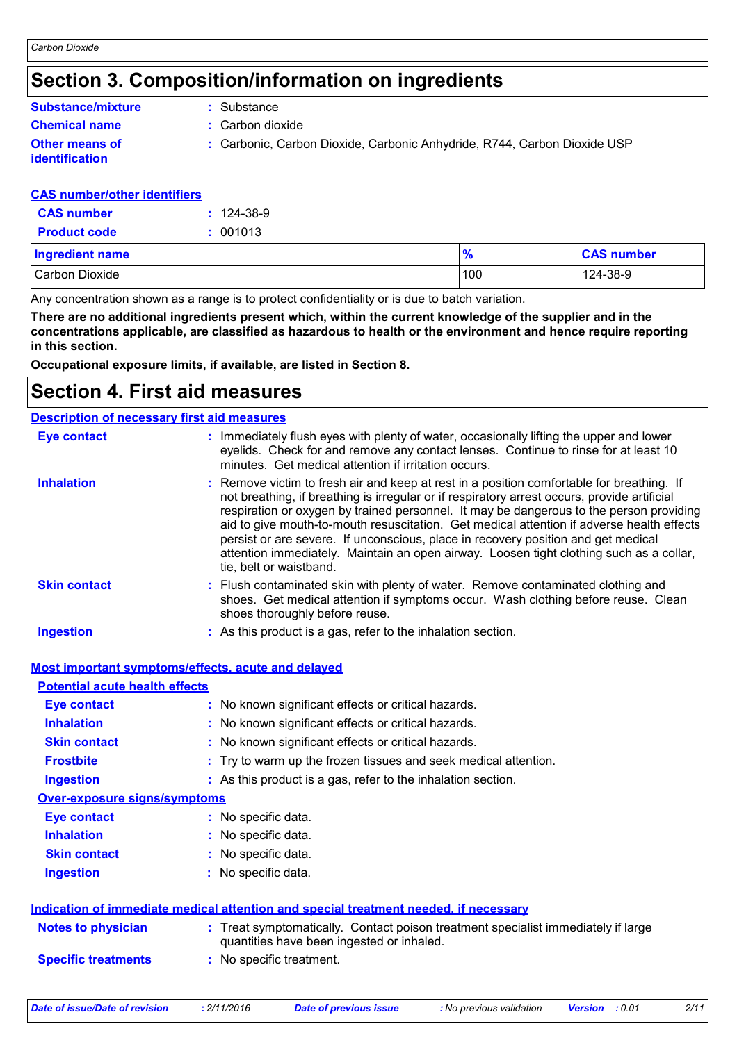### **Section 3. Composition/information on ingredients**

### **Chemical name :** Carbon dioxide **Other means of Substance/mixture**

**:** Substance

- 
- **identification**
- - **:** Carbonic, Carbon Dioxide, Carbonic Anhydride, R744, Carbon Dioxide USP

#### **CAS number/other identifiers**

| <b>CAS</b> number   | $: 124-38-9$ |
|---------------------|--------------|
| <b>Product code</b> | : 001013     |

| <b>Ingredient name</b> | 70  | <b>CAS number</b> |
|------------------------|-----|-------------------|
| Carbon Dioxide         | 100 | 124-38-9          |

Any concentration shown as a range is to protect confidentiality or is due to batch variation.

**There are no additional ingredients present which, within the current knowledge of the supplier and in the concentrations applicable, are classified as hazardous to health or the environment and hence require reporting in this section.**

**Occupational exposure limits, if available, are listed in Section 8.**

### **Section 4. First aid measures**

| <b>Description of necessary first aid measures</b> |                                                                                                                                                                                                                                                                                                                                                                                                                                                                                                                                                                                              |
|----------------------------------------------------|----------------------------------------------------------------------------------------------------------------------------------------------------------------------------------------------------------------------------------------------------------------------------------------------------------------------------------------------------------------------------------------------------------------------------------------------------------------------------------------------------------------------------------------------------------------------------------------------|
| <b>Eye contact</b>                                 | : Immediately flush eyes with plenty of water, occasionally lifting the upper and lower<br>eyelids. Check for and remove any contact lenses. Continue to rinse for at least 10<br>minutes. Get medical attention if irritation occurs.                                                                                                                                                                                                                                                                                                                                                       |
| <b>Inhalation</b>                                  | : Remove victim to fresh air and keep at rest in a position comfortable for breathing. If<br>not breathing, if breathing is irregular or if respiratory arrest occurs, provide artificial<br>respiration or oxygen by trained personnel. It may be dangerous to the person providing<br>aid to give mouth-to-mouth resuscitation. Get medical attention if adverse health effects<br>persist or are severe. If unconscious, place in recovery position and get medical<br>attention immediately. Maintain an open airway. Loosen tight clothing such as a collar,<br>tie, belt or waistband. |
| <b>Skin contact</b>                                | : Flush contaminated skin with plenty of water. Remove contaminated clothing and<br>shoes. Get medical attention if symptoms occur. Wash clothing before reuse. Clean<br>shoes thoroughly before reuse.                                                                                                                                                                                                                                                                                                                                                                                      |
| <b>Ingestion</b>                                   | : As this product is a gas, refer to the inhalation section.                                                                                                                                                                                                                                                                                                                                                                                                                                                                                                                                 |

#### **Most important symptoms/effects, acute and delayed**

| <b>Potential acute health effects</b> |                                                                                                                                |
|---------------------------------------|--------------------------------------------------------------------------------------------------------------------------------|
| <b>Eye contact</b>                    | : No known significant effects or critical hazards.                                                                            |
| <b>Inhalation</b>                     | : No known significant effects or critical hazards.                                                                            |
| <b>Skin contact</b>                   | : No known significant effects or critical hazards.                                                                            |
| <b>Frostbite</b>                      | : Try to warm up the frozen tissues and seek medical attention.                                                                |
| <b>Ingestion</b>                      | : As this product is a gas, refer to the inhalation section.                                                                   |
| <b>Over-exposure signs/symptoms</b>   |                                                                                                                                |
| <b>Eye contact</b>                    | : No specific data.                                                                                                            |
| <b>Inhalation</b>                     | : No specific data.                                                                                                            |
| <b>Skin contact</b>                   | : No specific data.                                                                                                            |
| <b>Ingestion</b>                      | : No specific data.                                                                                                            |
|                                       | <b>Indication of immediate medical attention and special treatment needed, if necessary</b>                                    |
| <b>Notes to physician</b>             | : Treat symptomatically. Contact poison treatment specialist immediately if large<br>quantities have been ingested or inhaled. |
| <b>Specific treatments</b>            | : No specific treatment.                                                                                                       |
|                                       |                                                                                                                                |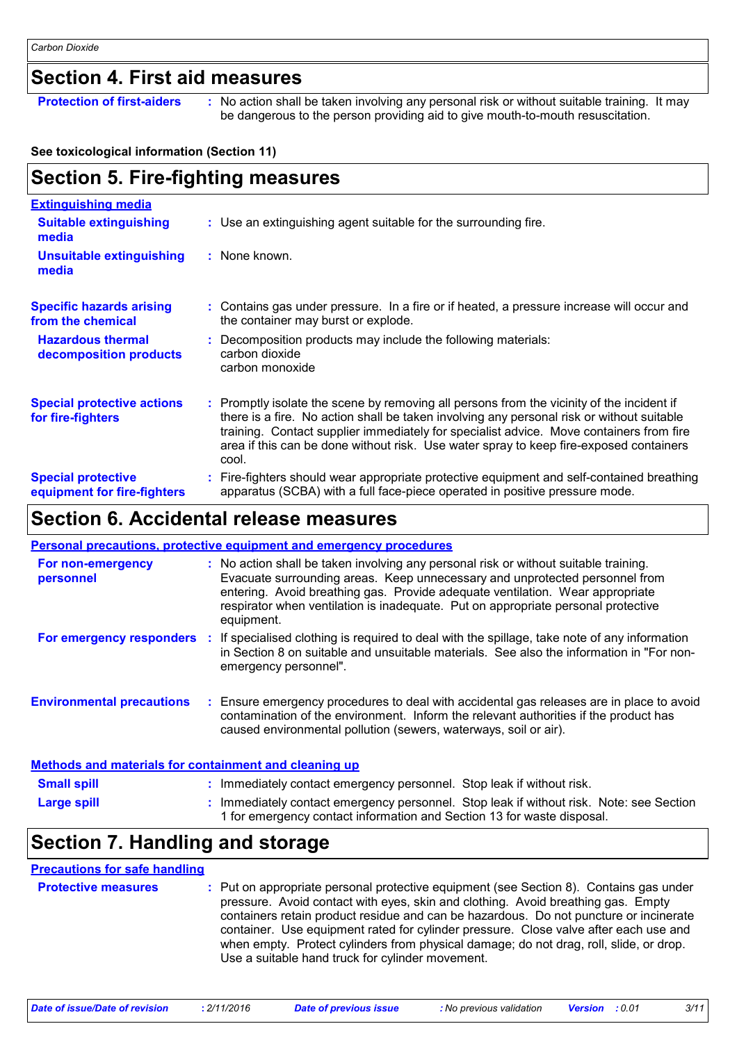### **Section 4. First aid measures**

**Protection of first-aiders** : No action shall be taken involving any personal risk or without suitable training. It may be dangerous to the person providing aid to give mouth-to-mouth resuscitation.

#### **See toxicological information (Section 11)**

| <b>Section 5. Fire-fighting measures</b>                 |                                                                                                                                                                                                                                                                                                                                                                                      |  |
|----------------------------------------------------------|--------------------------------------------------------------------------------------------------------------------------------------------------------------------------------------------------------------------------------------------------------------------------------------------------------------------------------------------------------------------------------------|--|
| <b>Extinguishing media</b>                               |                                                                                                                                                                                                                                                                                                                                                                                      |  |
| <b>Suitable extinguishing</b><br>media                   | : Use an extinguishing agent suitable for the surrounding fire.                                                                                                                                                                                                                                                                                                                      |  |
| <b>Unsuitable extinguishing</b><br>media                 | : None known.                                                                                                                                                                                                                                                                                                                                                                        |  |
| <b>Specific hazards arising</b><br>from the chemical     | : Contains gas under pressure. In a fire or if heated, a pressure increase will occur and<br>the container may burst or explode.                                                                                                                                                                                                                                                     |  |
| <b>Hazardous thermal</b><br>decomposition products       | Decomposition products may include the following materials:<br>carbon dioxide<br>carbon monoxide                                                                                                                                                                                                                                                                                     |  |
| <b>Special protective actions</b><br>for fire-fighters   | : Promptly isolate the scene by removing all persons from the vicinity of the incident if<br>there is a fire. No action shall be taken involving any personal risk or without suitable<br>training. Contact supplier immediately for specialist advice. Move containers from fire<br>area if this can be done without risk. Use water spray to keep fire-exposed containers<br>cool. |  |
| <b>Special protective</b><br>equipment for fire-fighters | Fire-fighters should wear appropriate protective equipment and self-contained breathing<br>apparatus (SCBA) with a full face-piece operated in positive pressure mode.                                                                                                                                                                                                               |  |

### **Section 6. Accidental release measures**

|                                                              |    | Personal precautions, protective equipment and emergency procedures                                                                                                                                                                                                                                                                                     |
|--------------------------------------------------------------|----|---------------------------------------------------------------------------------------------------------------------------------------------------------------------------------------------------------------------------------------------------------------------------------------------------------------------------------------------------------|
| For non-emergency<br>personnel                               |    | : No action shall be taken involving any personal risk or without suitable training.<br>Evacuate surrounding areas. Keep unnecessary and unprotected personnel from<br>entering. Avoid breathing gas. Provide adequate ventilation. Wear appropriate<br>respirator when ventilation is inadequate. Put on appropriate personal protective<br>equipment. |
| For emergency responders                                     | И. | If specialised clothing is required to deal with the spillage, take note of any information<br>in Section 8 on suitable and unsuitable materials. See also the information in "For non-<br>emergency personnel".                                                                                                                                        |
| <b>Environmental precautions</b>                             |    | : Ensure emergency procedures to deal with accidental gas releases are in place to avoid<br>contamination of the environment. Inform the relevant authorities if the product has<br>caused environmental pollution (sewers, waterways, soil or air).                                                                                                    |
| <b>Methods and materials for containment and cleaning up</b> |    |                                                                                                                                                                                                                                                                                                                                                         |

| <b>Small spill</b> | : Immediately contact emergency personnel. Stop leak if without risk.                                                                                             |
|--------------------|-------------------------------------------------------------------------------------------------------------------------------------------------------------------|
| <b>Large spill</b> | : Immediately contact emergency personnel. Stop leak if without risk. Note: see Section<br>1 for emergency contact information and Section 13 for waste disposal. |

# **Section 7. Handling and storage**

#### **Precautions for safe handling**

| <b>Protective measures</b> | : Put on appropriate personal protective equipment (see Section 8). Contains gas under<br>pressure. Avoid contact with eyes, skin and clothing. Avoid breathing gas. Empty<br>containers retain product residue and can be hazardous. Do not puncture or incinerate<br>container. Use equipment rated for cylinder pressure. Close valve after each use and<br>when empty. Protect cylinders from physical damage; do not drag, roll, slide, or drop.<br>Use a suitable hand truck for cylinder movement. |
|----------------------------|-----------------------------------------------------------------------------------------------------------------------------------------------------------------------------------------------------------------------------------------------------------------------------------------------------------------------------------------------------------------------------------------------------------------------------------------------------------------------------------------------------------|
|----------------------------|-----------------------------------------------------------------------------------------------------------------------------------------------------------------------------------------------------------------------------------------------------------------------------------------------------------------------------------------------------------------------------------------------------------------------------------------------------------------------------------------------------------|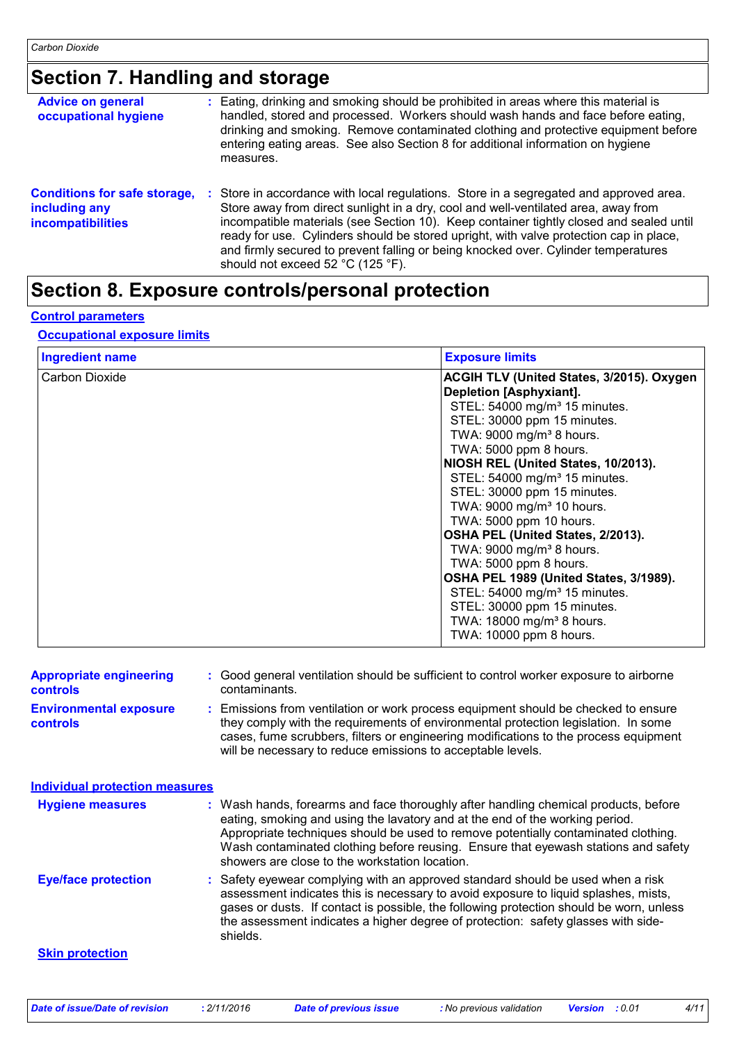# **Section 7. Handling and storage**

| <b>Advice on general</b><br>occupational hygiene                                 | : Eating, drinking and smoking should be prohibited in areas where this material is<br>handled, stored and processed. Workers should wash hands and face before eating,<br>drinking and smoking. Remove contaminated clothing and protective equipment before<br>entering eating areas. See also Section 8 for additional information on hygiene<br>measures.                                                                                                                              |
|----------------------------------------------------------------------------------|--------------------------------------------------------------------------------------------------------------------------------------------------------------------------------------------------------------------------------------------------------------------------------------------------------------------------------------------------------------------------------------------------------------------------------------------------------------------------------------------|
| <b>Conditions for safe storage,</b><br>including any<br><b>incompatibilities</b> | Store in accordance with local regulations. Store in a segregated and approved area.<br>Store away from direct sunlight in a dry, cool and well-ventilated area, away from<br>incompatible materials (see Section 10). Keep container tightly closed and sealed until<br>ready for use. Cylinders should be stored upright, with valve protection cap in place,<br>and firmly secured to prevent falling or being knocked over. Cylinder temperatures<br>should not exceed 52 °C (125 °F). |

### **Section 8. Exposure controls/personal protection**

#### **Control parameters**

#### **Occupational exposure limits**

| <b>Ingredient name</b> | <b>Exposure limits</b>                    |
|------------------------|-------------------------------------------|
| Carbon Dioxide         | ACGIH TLV (United States, 3/2015). Oxygen |
|                        | Depletion [Asphyxiant].                   |
|                        | STEL: 54000 mg/m <sup>3</sup> 15 minutes. |
|                        | STEL: 30000 ppm 15 minutes.               |
|                        | TWA: 9000 mg/m <sup>3</sup> 8 hours.      |
|                        | TWA: 5000 ppm 8 hours.                    |
|                        | NIOSH REL (United States, 10/2013).       |
|                        | STEL: 54000 mg/m <sup>3</sup> 15 minutes. |
|                        | STEL: 30000 ppm 15 minutes.               |
|                        | TWA: 9000 mg/m <sup>3</sup> 10 hours.     |
|                        | TWA: 5000 ppm 10 hours.                   |
|                        | OSHA PEL (United States, 2/2013).         |
|                        | TWA: 9000 mg/m <sup>3</sup> 8 hours.      |
|                        | TWA: 5000 ppm 8 hours.                    |
|                        | OSHA PEL 1989 (United States, 3/1989).    |
|                        | STEL: 54000 mg/m <sup>3</sup> 15 minutes. |
|                        | STEL: 30000 ppm 15 minutes.               |
|                        | TWA: 18000 mg/m <sup>3</sup> 8 hours.     |
|                        | TWA: 10000 ppm 8 hours.                   |

| <b>Appropriate engineering</b><br><b>controls</b> | : Good general ventilation should be sufficient to control worker exposure to airborne<br>contaminants.                                                                                                                                                                                                                                                                                           |
|---------------------------------------------------|---------------------------------------------------------------------------------------------------------------------------------------------------------------------------------------------------------------------------------------------------------------------------------------------------------------------------------------------------------------------------------------------------|
| <b>Environmental exposure</b><br><b>controls</b>  | : Emissions from ventilation or work process equipment should be checked to ensure<br>they comply with the requirements of environmental protection legislation. In some<br>cases, fume scrubbers, filters or engineering modifications to the process equipment<br>will be necessary to reduce emissions to acceptable levels.                                                                   |
| <b>Individual protection measures</b>             |                                                                                                                                                                                                                                                                                                                                                                                                   |
| <b>Hygiene measures</b>                           | : Wash hands, forearms and face thoroughly after handling chemical products, before<br>eating, smoking and using the lavatory and at the end of the working period.<br>Appropriate techniques should be used to remove potentially contaminated clothing.<br>Wash contaminated clothing before reusing. Ensure that eyewash stations and safety<br>showers are close to the workstation location. |
| <b>Eye/face protection</b>                        | : Safety eyewear complying with an approved standard should be used when a risk<br>assessment indicates this is necessary to avoid exposure to liquid splashes, mists,<br>gases or dusts. If contact is possible, the following protection should be worn, unless<br>the assessment indicates a higher degree of protection: safety glasses with side-<br>shields.                                |
| <b>Skin protection</b>                            |                                                                                                                                                                                                                                                                                                                                                                                                   |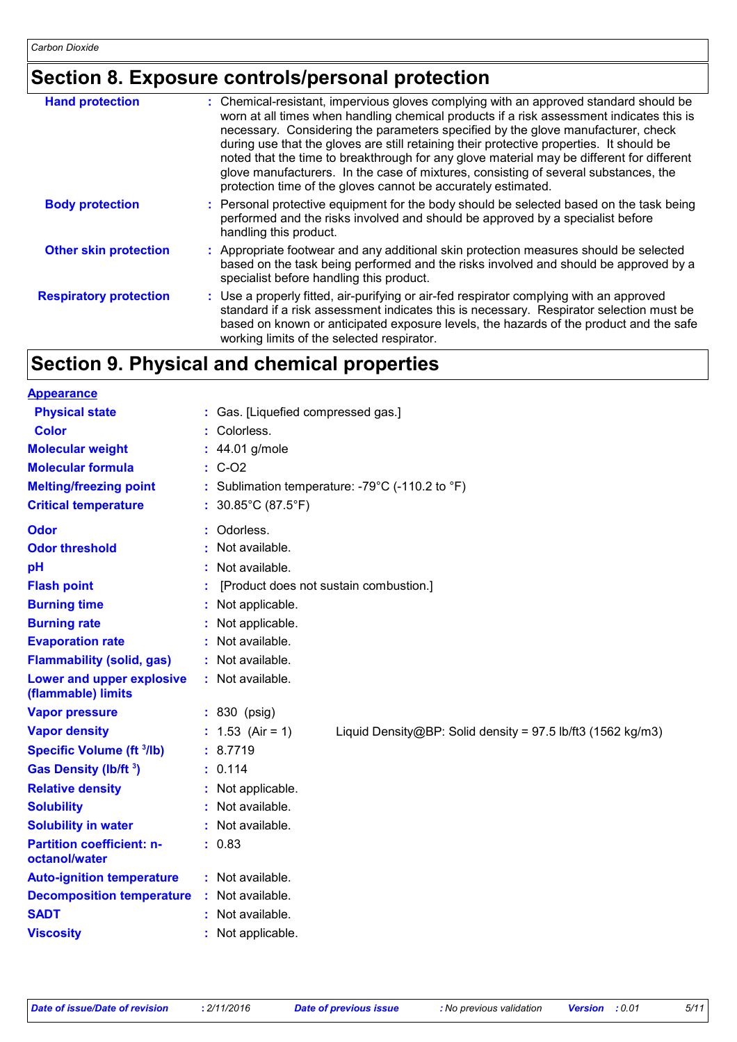# **Section 8. Exposure controls/personal protection**

| <b>Hand protection</b>        | : Chemical-resistant, impervious gloves complying with an approved standard should be<br>worn at all times when handling chemical products if a risk assessment indicates this is<br>necessary. Considering the parameters specified by the glove manufacturer, check<br>during use that the gloves are still retaining their protective properties. It should be<br>noted that the time to breakthrough for any glove material may be different for different<br>glove manufacturers. In the case of mixtures, consisting of several substances, the<br>protection time of the gloves cannot be accurately estimated. |
|-------------------------------|------------------------------------------------------------------------------------------------------------------------------------------------------------------------------------------------------------------------------------------------------------------------------------------------------------------------------------------------------------------------------------------------------------------------------------------------------------------------------------------------------------------------------------------------------------------------------------------------------------------------|
| <b>Body protection</b>        | : Personal protective equipment for the body should be selected based on the task being<br>performed and the risks involved and should be approved by a specialist before<br>handling this product.                                                                                                                                                                                                                                                                                                                                                                                                                    |
| <b>Other skin protection</b>  | : Appropriate footwear and any additional skin protection measures should be selected<br>based on the task being performed and the risks involved and should be approved by a<br>specialist before handling this product.                                                                                                                                                                                                                                                                                                                                                                                              |
| <b>Respiratory protection</b> | : Use a properly fitted, air-purifying or air-fed respirator complying with an approved<br>standard if a risk assessment indicates this is necessary. Respirator selection must be<br>based on known or anticipated exposure levels, the hazards of the product and the safe<br>working limits of the selected respirator.                                                                                                                                                                                                                                                                                             |

# **Section 9. Physical and chemical properties**

| <b>Appearance</b>                                 |                                                                                     |
|---------------------------------------------------|-------------------------------------------------------------------------------------|
| <b>Physical state</b>                             | : Gas. [Liquefied compressed gas.]                                                  |
| <b>Color</b>                                      | Colorless.                                                                          |
| <b>Molecular weight</b>                           | : 44.01 g/mole                                                                      |
| <b>Molecular formula</b>                          | $\therefore$ C-O2                                                                   |
| <b>Melting/freezing point</b>                     | : Sublimation temperature: -79°C (-110.2 to °F)                                     |
| <b>Critical temperature</b>                       | : $30.85^{\circ}$ C (87.5 $^{\circ}$ F)                                             |
| Odor                                              | : Odorless.                                                                         |
| <b>Odor threshold</b>                             | : Not available.                                                                    |
| pH                                                | : Not available.                                                                    |
| <b>Flash point</b>                                | [Product does not sustain combustion.]                                              |
| <b>Burning time</b>                               | : Not applicable.                                                                   |
| <b>Burning rate</b>                               | : Not applicable.                                                                   |
| <b>Evaporation rate</b>                           | : Not available.                                                                    |
| <b>Flammability (solid, gas)</b>                  | : Not available.                                                                    |
| Lower and upper explosive<br>(flammable) limits   | : Not available.                                                                    |
| <b>Vapor pressure</b>                             | : 830 (psig)                                                                        |
| <b>Vapor density</b>                              | : $1.53$ (Air = 1)<br>Liquid Density@BP: Solid density = $97.5$ lb/ft3 (1562 kg/m3) |
| <b>Specific Volume (ft 3/lb)</b>                  | : 8.7719                                                                            |
| Gas Density (lb/ft 3)                             | : 0.114                                                                             |
| <b>Relative density</b>                           | : Not applicable.                                                                   |
| <b>Solubility</b>                                 | : Not available.                                                                    |
| <b>Solubility in water</b>                        | : Not available.                                                                    |
| <b>Partition coefficient: n-</b><br>octanol/water | : 0.83                                                                              |
| <b>Auto-ignition temperature</b>                  | $:$ Not available.                                                                  |
| <b>Decomposition temperature</b>                  | : Not available.                                                                    |
| <b>SADT</b>                                       | : Not available.                                                                    |
| <b>Viscosity</b>                                  | : Not applicable.                                                                   |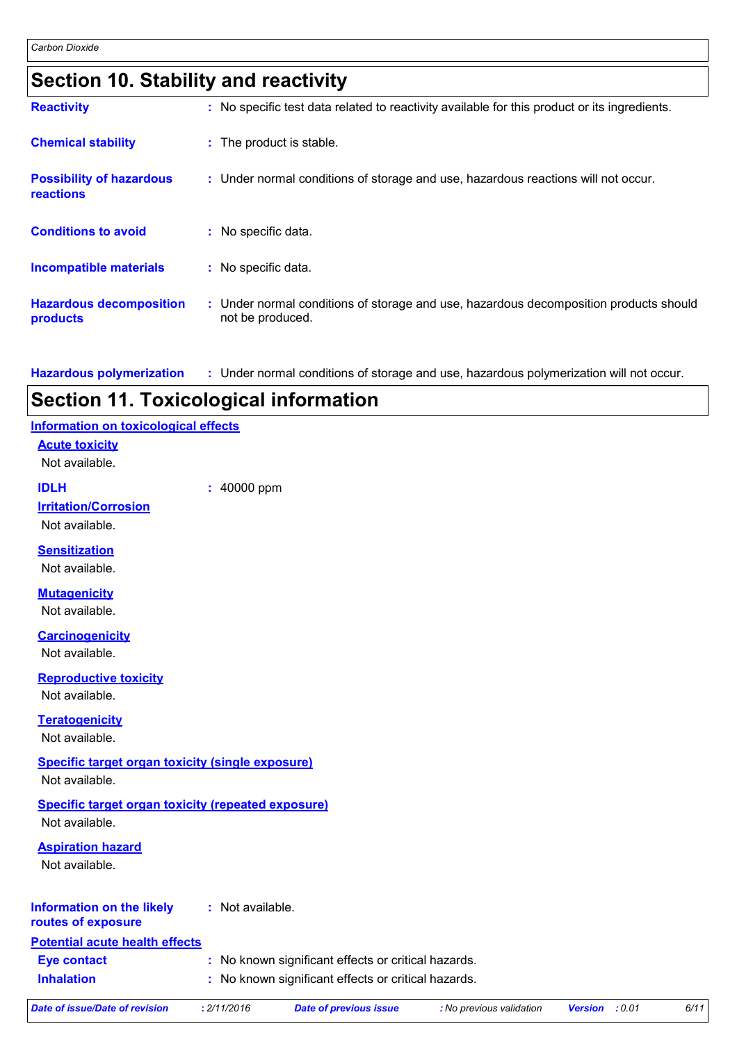| <b>Section 10. Stability and reactivity</b> |  |
|---------------------------------------------|--|
|---------------------------------------------|--|

| <b>Reactivity</b>                            | : No specific test data related to reactivity available for this product or its ingredients.              |
|----------------------------------------------|-----------------------------------------------------------------------------------------------------------|
| <b>Chemical stability</b>                    | : The product is stable.                                                                                  |
| <b>Possibility of hazardous</b><br>reactions | : Under normal conditions of storage and use, hazardous reactions will not occur.                         |
| <b>Conditions to avoid</b>                   | : No specific data.                                                                                       |
| <b>Incompatible materials</b>                | : No specific data.                                                                                       |
| <b>Hazardous decomposition</b><br>products   | : Under normal conditions of storage and use, hazardous decomposition products should<br>not be produced. |

**Hazardous polymerization :** Under normal conditions of storage and use, hazardous polymerization will not occur.

### **Section 11. Toxicological information**

| <b>Information on toxicological effects</b>               |                                                         |
|-----------------------------------------------------------|---------------------------------------------------------|
| <b>Acute toxicity</b>                                     |                                                         |
| Not available.                                            |                                                         |
| <b>IDLH</b>                                               | : 40000 ppm                                             |
| <b>Irritation/Corrosion</b>                               |                                                         |
| Not available.                                            |                                                         |
| <b>Sensitization</b>                                      |                                                         |
| Not available.                                            |                                                         |
| <b>Mutagenicity</b>                                       |                                                         |
| Not available.                                            |                                                         |
| <b>Carcinogenicity</b>                                    |                                                         |
| Not available.                                            |                                                         |
| <b>Reproductive toxicity</b>                              |                                                         |
| Not available.                                            |                                                         |
| <b>Teratogenicity</b>                                     |                                                         |
| Not available.                                            |                                                         |
| <b>Specific target organ toxicity (single exposure)</b>   |                                                         |
| Not available.                                            |                                                         |
| <b>Specific target organ toxicity (repeated exposure)</b> |                                                         |
| Not available.                                            |                                                         |
| <b>Aspiration hazard</b>                                  |                                                         |
| Not available.                                            |                                                         |
|                                                           |                                                         |
| <b>Information on the likely</b><br>routes of exposure    | : Not available.                                        |
| <b>Potential acute health effects</b>                     |                                                         |
| <b>Eye contact</b>                                        | : No known significant effects or critical hazards.     |
| <b>Inhalation</b>                                         | No known significant effects or critical hazards.<br>t. |

| Date of issue/Date of revision | 2/11/2016 | Date of previous issue | <b>:</b> No previous validation | : 0.01<br><b>Version</b> | 6/1 <sup>1</sup> |
|--------------------------------|-----------|------------------------|---------------------------------|--------------------------|------------------|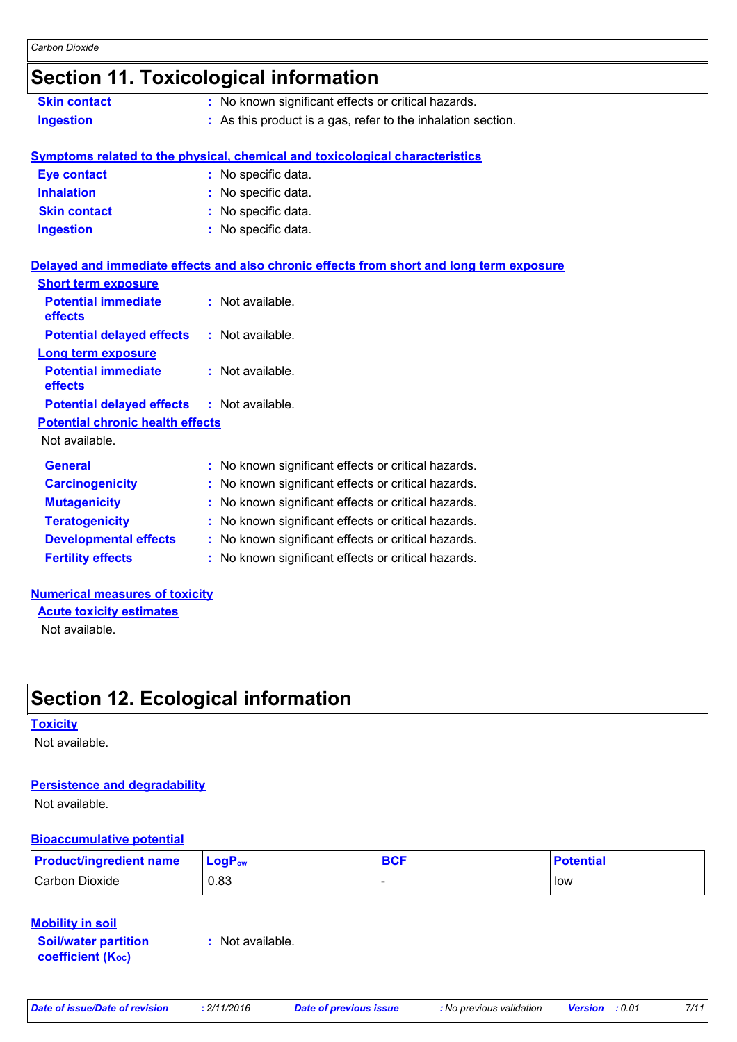### **Section 11. Toxicological information**

|                                         | <b>OUGLIOII II. IUAILUIUGILUI IIIUIIIIAIIUII</b>                                         |
|-----------------------------------------|------------------------------------------------------------------------------------------|
| <b>Skin contact</b>                     | : No known significant effects or critical hazards.                                      |
| <b>Ingestion</b>                        | : As this product is a gas, refer to the inhalation section.                             |
|                                         | Symptoms related to the physical, chemical and toxicological characteristics             |
| <b>Eye contact</b>                      | : No specific data.                                                                      |
| <b>Inhalation</b>                       | : No specific data.                                                                      |
| <b>Skin contact</b>                     | : No specific data.                                                                      |
| <b>Ingestion</b>                        | : No specific data.                                                                      |
|                                         | Delayed and immediate effects and also chronic effects from short and long term exposure |
| <b>Short term exposure</b>              |                                                                                          |
| <b>Potential immediate</b><br>effects   | : Not available.                                                                         |
| <b>Potential delayed effects</b>        | : Not available.                                                                         |
| <b>Long term exposure</b>               |                                                                                          |
| <b>Potential immediate</b><br>effects   | : Not available.                                                                         |
| <b>Potential delayed effects</b>        | : Not available.                                                                         |
| <b>Potential chronic health effects</b> |                                                                                          |
| Not available.                          |                                                                                          |
| <b>General</b>                          | : No known significant effects or critical hazards.                                      |
| <b>Carcinogenicity</b>                  | : No known significant effects or critical hazards.                                      |
| <b>Mutagenicity</b>                     | : No known significant effects or critical hazards.                                      |
| <b>Teratogenicity</b>                   | : No known significant effects or critical hazards.                                      |
| <b>Developmental effects</b>            | : No known significant effects or critical hazards.                                      |

#### **Numerical measures of toxicity**

**Acute toxicity estimates**

Not available.

### **Section 12. Ecological information**

#### **Toxicity**

Not available.

### **Persistence and degradability**

Not available.

### **Bioaccumulative potential**

| <b>Product/ingredient name</b> | $\mathsf{LogP}_\mathsf{ow}$ | <b>BCF</b> | <b>Potential</b> |
|--------------------------------|-----------------------------|------------|------------------|
| Carbon Dioxide                 | 0.83                        |            | low              |

### **Mobility in soil**

**Soil/water partition coefficient (Koc)** 

**:** Not available.

**Fertility effects :** No known significant effects or critical hazards.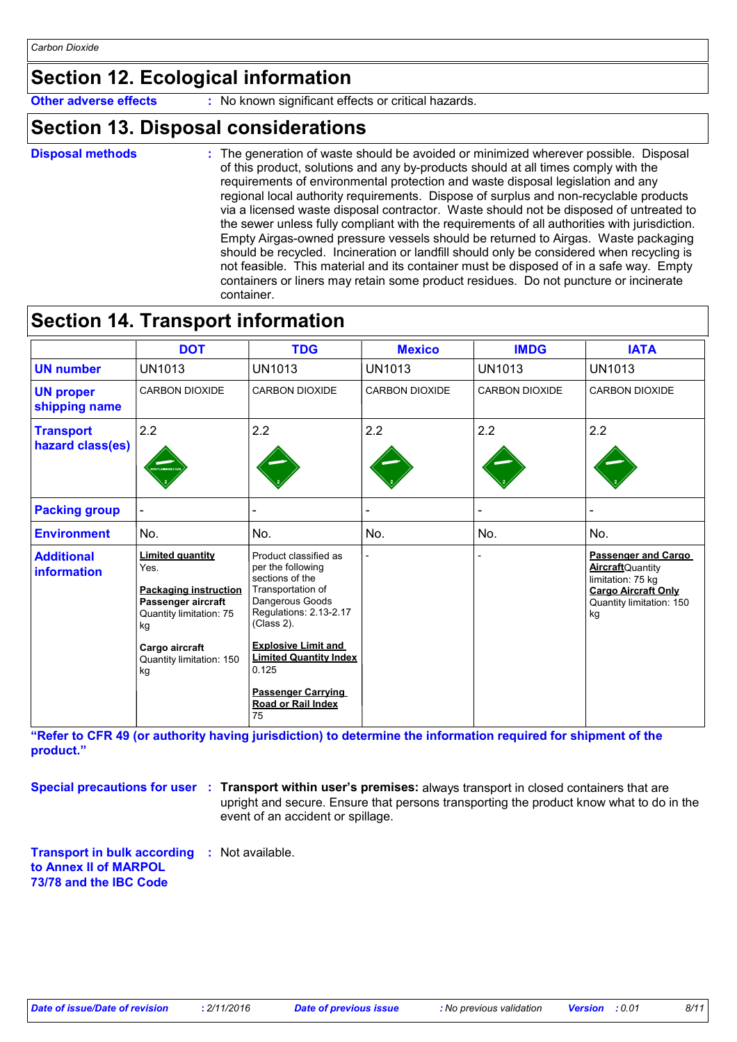### **Section 12. Ecological information**

**Other adverse effects** : No known significant effects or critical hazards.

### **Section 13. Disposal considerations**

```
Disposal methods :
```
The generation of waste should be avoided or minimized wherever possible. Disposal of this product, solutions and any by-products should at all times comply with the requirements of environmental protection and waste disposal legislation and any regional local authority requirements. Dispose of surplus and non-recyclable products via a licensed waste disposal contractor. Waste should not be disposed of untreated to the sewer unless fully compliant with the requirements of all authorities with jurisdiction. Empty Airgas-owned pressure vessels should be returned to Airgas. Waste packaging should be recycled. Incineration or landfill should only be considered when recycling is not feasible. This material and its container must be disposed of in a safe way. Empty containers or liners may retain some product residues. Do not puncture or incinerate container.

### **Section 14. Transport information**

|                                      | <b>DOT</b>                                                                                                                                                                 | <b>TDG</b>                                                                                                                                                                                                                                                                     | <b>Mexico</b>         | <b>IMDG</b>           | <b>IATA</b>                                                                                                                          |
|--------------------------------------|----------------------------------------------------------------------------------------------------------------------------------------------------------------------------|--------------------------------------------------------------------------------------------------------------------------------------------------------------------------------------------------------------------------------------------------------------------------------|-----------------------|-----------------------|--------------------------------------------------------------------------------------------------------------------------------------|
| <b>UN number</b>                     | <b>UN1013</b>                                                                                                                                                              | <b>UN1013</b>                                                                                                                                                                                                                                                                  | <b>UN1013</b>         | <b>UN1013</b>         | UN1013                                                                                                                               |
| <b>UN proper</b><br>shipping name    | <b>CARBON DIOXIDE</b>                                                                                                                                                      | <b>CARBON DIOXIDE</b>                                                                                                                                                                                                                                                          | <b>CARBON DIOXIDE</b> | <b>CARBON DIOXIDE</b> | <b>CARBON DIOXIDE</b>                                                                                                                |
| <b>Transport</b><br>hazard class(es) | 2.2                                                                                                                                                                        | 2.2                                                                                                                                                                                                                                                                            | 2.2                   | 2.2                   | 2.2                                                                                                                                  |
| <b>Packing group</b>                 |                                                                                                                                                                            |                                                                                                                                                                                                                                                                                |                       |                       |                                                                                                                                      |
| <b>Environment</b>                   | No.                                                                                                                                                                        | No.                                                                                                                                                                                                                                                                            | No.                   | No.                   | No.                                                                                                                                  |
| <b>Additional</b><br>information     | <b>Limited quantity</b><br>Yes.<br><b>Packaging instruction</b><br>Passenger aircraft<br>Quantity limitation: 75<br>kg<br>Cargo aircraft<br>Quantity limitation: 150<br>kg | Product classified as<br>per the following<br>sections of the<br>Transportation of<br>Dangerous Goods<br>Regulations: 2.13-2.17<br>(Class 2).<br><b>Explosive Limit and</b><br><b>Limited Quantity Index</b><br>0.125<br><b>Passenger Carrying</b><br>Road or Rail Index<br>75 |                       |                       | Passenger and Cargo<br><b>Aircraft</b> Quantity<br>limitation: 75 kg<br><b>Cargo Aircraft Only</b><br>Quantity limitation: 150<br>kg |

**"Refer to CFR 49 (or authority having jurisdiction) to determine the information required for shipment of the product."** 

**Special precautions for user** : Transport within user's premises: always transport in closed containers that are upright and secure. Ensure that persons transporting the product know what to do in the event of an accident or spillage.

**Transport in bulk according :** Not available. **to Annex II of MARPOL 73/78 and the IBC Code**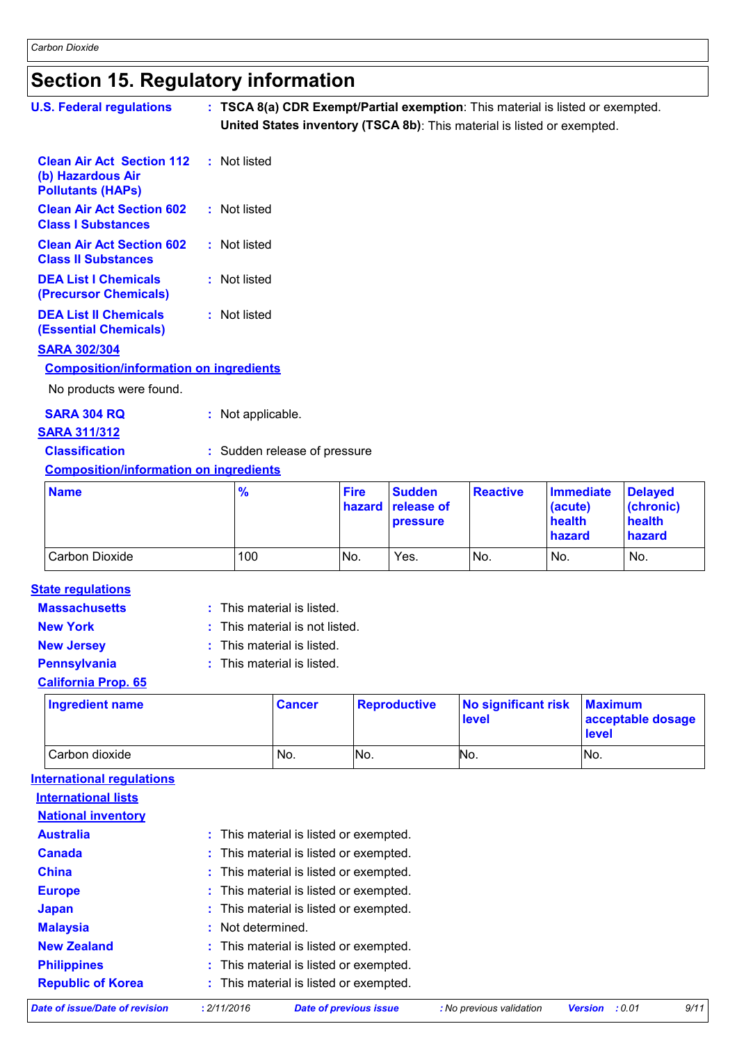# **Section 15. Regulatory information**

| <b>U.S. Federal regulations</b>                                                   | : TSCA 8(a) CDR Exempt/Partial exemption: This material is listed or exempted.<br>United States inventory (TSCA 8b): This material is listed or exempted. |             |               |                 |                            |                     |
|-----------------------------------------------------------------------------------|-----------------------------------------------------------------------------------------------------------------------------------------------------------|-------------|---------------|-----------------|----------------------------|---------------------|
| <b>Clean Air Act Section 112</b><br>(b) Hazardous Air<br><b>Pollutants (HAPS)</b> | : Not listed                                                                                                                                              |             |               |                 |                            |                     |
| <b>Clean Air Act Section 602</b><br><b>Class I Substances</b>                     | : Not listed                                                                                                                                              |             |               |                 |                            |                     |
| <b>Clean Air Act Section 602</b><br><b>Class II Substances</b>                    | : Not listed                                                                                                                                              |             |               |                 |                            |                     |
| <b>DEA List I Chemicals</b><br>(Precursor Chemicals)                              | : Not listed                                                                                                                                              |             |               |                 |                            |                     |
| <b>DEA List II Chemicals</b><br><b>(Essential Chemicals)</b>                      | : Not listed                                                                                                                                              |             |               |                 |                            |                     |
| <b>SARA 302/304</b>                                                               |                                                                                                                                                           |             |               |                 |                            |                     |
| <b>Composition/information on ingredients</b>                                     |                                                                                                                                                           |             |               |                 |                            |                     |
| No products were found.                                                           |                                                                                                                                                           |             |               |                 |                            |                     |
| <b>SARA 304 RQ</b><br><b>SARA 311/312</b>                                         | : Not applicable.                                                                                                                                         |             |               |                 |                            |                     |
| <b>Classification</b>                                                             | : Sudden release of pressure                                                                                                                              |             |               |                 |                            |                     |
| <b>Composition/information on ingredients</b>                                     |                                                                                                                                                           |             |               |                 |                            |                     |
| <b>Name</b>                                                                       | $\frac{9}{6}$                                                                                                                                             | <b>Fire</b> | <b>Sudden</b> | <b>Reactive</b> | <b>Immediate</b>           | <b>Delayed</b>      |
|                                                                                   |                                                                                                                                                           | hazard      | release of    |                 | (acute)<br>المالفة المرابط | (chronic)<br>$-141$ |

| <b>IName</b>   | 70  | l Fire | <b>Sudden</b><br><b>hazard</b> release of<br><b>pressure</b> | <b>Reactive</b> | <u>Immediate</u><br>(acute)<br>health<br>hazard | <b>Delayed</b><br>(chronic)<br>health<br>hazard |
|----------------|-----|--------|--------------------------------------------------------------|-----------------|-------------------------------------------------|-------------------------------------------------|
| Carbon Dioxide | 100 | No.    | Yes.                                                         | No.             | No.                                             | No.                                             |

#### **Massachusetts State regulations**

| This material is listed. |
|--------------------------|
|--------------------------|

**New York :** This material is not listed.

- 
- **New Jersey :** This material is listed.
- **Pennsylvania :** This material is listed.

#### **California Prop. 65**

| <b>Ingredient name</b> | <b>Cancer</b> | Reproductive | No significant risk<br>level | <b>Maximum</b><br>acceptable dosage<br><b>level</b> |
|------------------------|---------------|--------------|------------------------------|-----------------------------------------------------|
| Carbon dioxide         | No.           | No.          | No.                          | INo.                                                |

**International regulations**

| Date of issue/Date of revision | : 2/11/2016       | <b>Date of previous issue</b>          | : No previous validation | :0.01<br><b>Version</b> | 9/11 |
|--------------------------------|-------------------|----------------------------------------|--------------------------|-------------------------|------|
| <b>Republic of Korea</b>       |                   | : This material is listed or exempted. |                          |                         |      |
| <b>Philippines</b>             |                   | : This material is listed or exempted. |                          |                         |      |
| <b>New Zealand</b>             |                   | : This material is listed or exempted. |                          |                         |      |
| <b>Malaysia</b>                | : Not determined. |                                        |                          |                         |      |
| Japan                          |                   | : This material is listed or exempted. |                          |                         |      |
| <b>Europe</b>                  |                   | : This material is listed or exempted. |                          |                         |      |
| <b>China</b>                   |                   | : This material is listed or exempted. |                          |                         |      |
| <b>Canada</b>                  |                   | : This material is listed or exempted. |                          |                         |      |
| <b>Australia</b>               |                   | : This material is listed or exempted. |                          |                         |      |
| <b>National inventory</b>      |                   |                                        |                          |                         |      |
| <b>International lists</b>     |                   |                                        |                          |                         |      |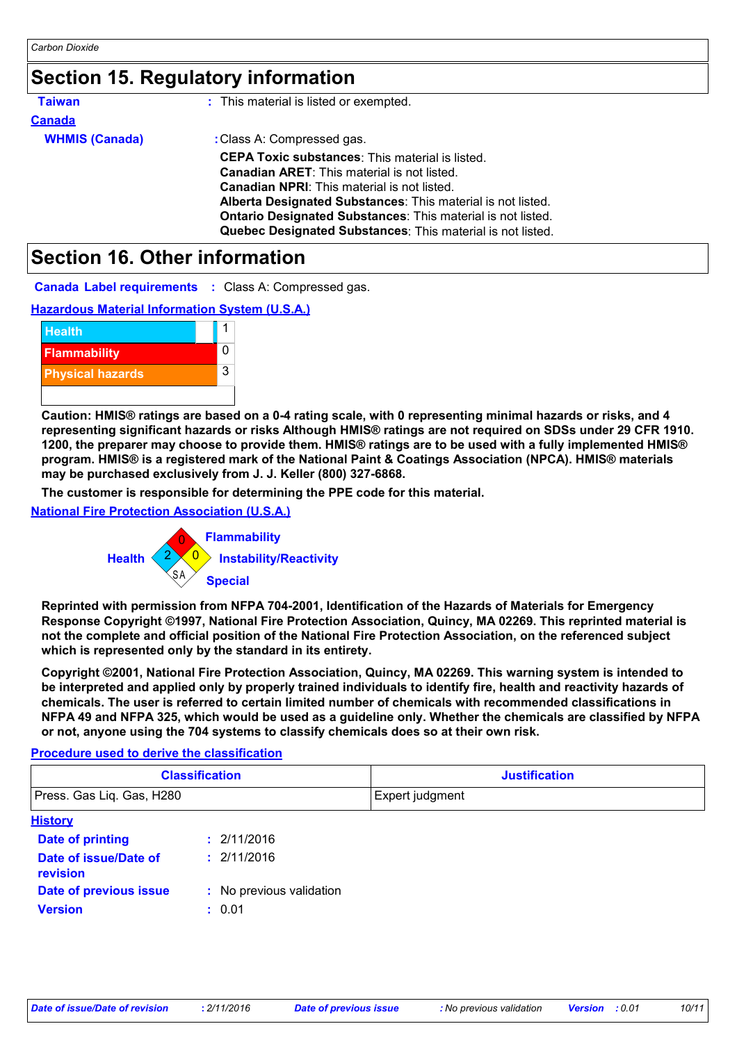### **Section 15. Regulatory information**

| <b>Taiwan</b>                                         | : This material is listed or exempted.                                                                                                                                                                                                                                                                                                                                                                                                                                                                                  |
|-------------------------------------------------------|-------------------------------------------------------------------------------------------------------------------------------------------------------------------------------------------------------------------------------------------------------------------------------------------------------------------------------------------------------------------------------------------------------------------------------------------------------------------------------------------------------------------------|
| <b>Canada</b>                                         |                                                                                                                                                                                                                                                                                                                                                                                                                                                                                                                         |
| <b>WHMIS (Canada)</b>                                 | : Class A: Compressed gas.                                                                                                                                                                                                                                                                                                                                                                                                                                                                                              |
|                                                       | <b>CEPA Toxic substances:</b> This material is listed.                                                                                                                                                                                                                                                                                                                                                                                                                                                                  |
|                                                       | <b>Canadian ARET:</b> This material is not listed.                                                                                                                                                                                                                                                                                                                                                                                                                                                                      |
|                                                       | <b>Canadian NPRI:</b> This material is not listed.                                                                                                                                                                                                                                                                                                                                                                                                                                                                      |
|                                                       | Alberta Designated Substances: This material is not listed.<br>Ontario Designated Substances: This material is not listed.                                                                                                                                                                                                                                                                                                                                                                                              |
|                                                       | Quebec Designated Substances: This material is not listed.                                                                                                                                                                                                                                                                                                                                                                                                                                                              |
|                                                       |                                                                                                                                                                                                                                                                                                                                                                                                                                                                                                                         |
| <b>Section 16. Other information</b>                  |                                                                                                                                                                                                                                                                                                                                                                                                                                                                                                                         |
|                                                       | <b>Canada Label requirements : Class A: Compressed gas.</b>                                                                                                                                                                                                                                                                                                                                                                                                                                                             |
| <b>Hazardous Material Information System (U.S.A.)</b> |                                                                                                                                                                                                                                                                                                                                                                                                                                                                                                                         |
| <b>Health</b>                                         | 1                                                                                                                                                                                                                                                                                                                                                                                                                                                                                                                       |
| Flammability                                          | 0                                                                                                                                                                                                                                                                                                                                                                                                                                                                                                                       |
| <b>Physical hazards</b>                               | 3                                                                                                                                                                                                                                                                                                                                                                                                                                                                                                                       |
|                                                       |                                                                                                                                                                                                                                                                                                                                                                                                                                                                                                                         |
|                                                       | Caution: HMIS® ratings are based on a 0-4 rating scale, with 0 representing minimal hazards or risks, and 4<br>representing significant hazards or risks Although HMIS® ratings are not required on SDSs under 29 CFR 1910.<br>1200, the preparer may choose to provide them. HMIS® ratings are to be used with a fully implemented HMIS®<br>program. HMIS® is a registered mark of the National Paint & Coatings Association (NPCA). HMIS® materials<br>may be purchased exclusively from J. J. Keller (800) 327-6868. |
|                                                       | The customer is responsible for determining the PPE code for this material.                                                                                                                                                                                                                                                                                                                                                                                                                                             |
| <b>National Fire Protection Association (U.S.A.)</b>  |                                                                                                                                                                                                                                                                                                                                                                                                                                                                                                                         |
|                                                       | <b>Flammability</b>                                                                                                                                                                                                                                                                                                                                                                                                                                                                                                     |
|                                                       | $\Omega$                                                                                                                                                                                                                                                                                                                                                                                                                                                                                                                |
| <b>Health</b>                                         | <b>Instability/Reactivity</b>                                                                                                                                                                                                                                                                                                                                                                                                                                                                                           |
|                                                       | SΑ<br><b>Special</b>                                                                                                                                                                                                                                                                                                                                                                                                                                                                                                    |
|                                                       | Reprinted with permission from NFPA 704-2001, Identification of the Hazards of Materials for Emergency<br>Response Copyright ©1997, National Fire Protection Association, Quincy, MA 02269. This reprinted material is<br>not the complete and official position of the National Fire Protection Association, on the referenced subject<br>which is represented only by the standard in its entirety.                                                                                                                   |
|                                                       | Copyright ©2001. National Fire Protection Association. Quincy, MA 02269. This warning system is intended to                                                                                                                                                                                                                                                                                                                                                                                                             |

### **Section 16. Other information**





**Copyright ©2001, National Fire Protection Association, Quincy, MA 02269. This warning system is intended to be interpreted and applied only by properly trained individuals to identify fire, health and reactivity hazards of chemicals. The user is referred to certain limited number of chemicals with recommended classifications in NFPA 49 and NFPA 325, which would be used as a guideline only. Whether the chemicals are classified by NFPA or not, anyone using the 704 systems to classify chemicals does so at their own risk.**

#### **Procedure used to derive the classification**

| <b>Classification</b>     | <b>Justification</b>   |
|---------------------------|------------------------|
| Press. Gas Lig. Gas, H280 | <b>Expert judgment</b> |

| <b>History</b>                    |                          |
|-----------------------------------|--------------------------|
| <b>Date of printing</b>           | : 2/11/2016              |
| Date of issue/Date of<br>revision | : 2/11/2016              |
| Date of previous issue            | : No previous validation |
| <b>Version</b>                    | : 0.01                   |